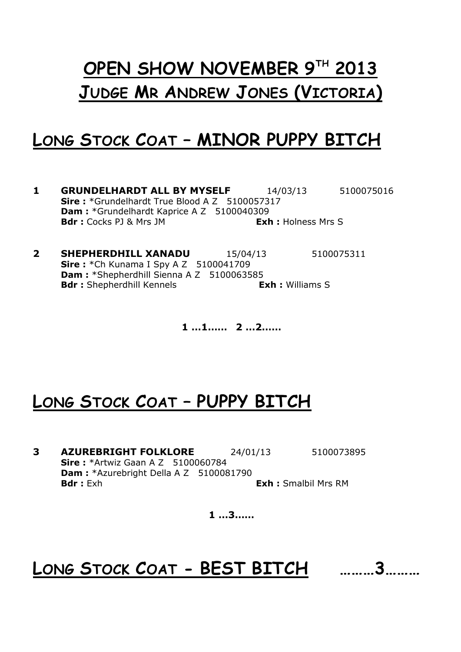# **OPEN SHOW NOVEMBER 9 TH 2013 JUDGE MR ANDREW JONES (VICTORIA)**

#### **LONG STOCK COAT – MINOR PUPPY BITCH**

- **1 GRUNDELHARDT ALL BY MYSELF** 14/03/13 5100075016 **Sire :** \*Grundelhardt True Blood A Z 5100057317 Dam : \*Grundelhardt Kaprice A Z 5100040309 **Bdr :** Cocks PJ & Mrs JM **Exh :** Holness Mrs S
- **2 SHEPHERDHILL XANADU** 15/04/13 5100075311 **Sire :** \*Ch Kunama I Spy A Z 5100041709 Dam : \*Shepherdhill Sienna A Z 5100063585 **Bdr :** Shepherdhill Kennels<br> **Exh :** Williams S

**1 …1…… 2 …2……**

#### **LONG STOCK COAT – PUPPY BITCH**

**3 AZUREBRIGHT FOLKLORE** 24/01/13 5100073895 **Sire :** \*Artwiz Gaan A Z 5100060784 **Dam : \***Azurebright Della A Z 5100081790 **Bdr :** Exh **Exh :** Smalbil Mrs RM

**1 …3……**

### **LONG STOCK COAT - BEST BITCH ………3………**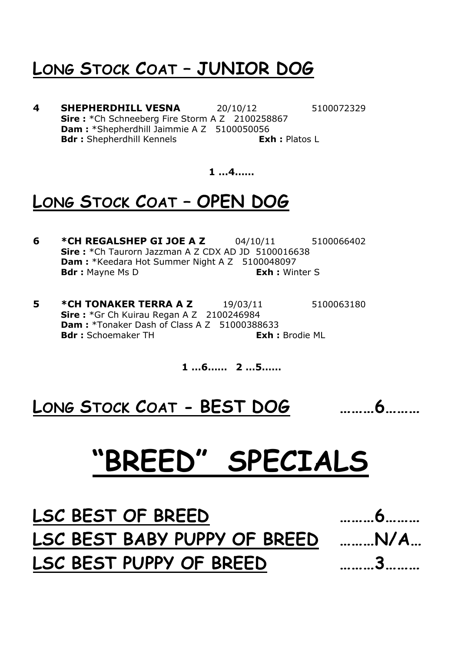### **LONG STOCK COAT – JUNIOR DOG**

**4 SHEPHERDHILL VESNA** 20/10/12 5100072329 **Sire :** \*Ch Schneeberg Fire Storm A Z 2100258867 **Dam :** \*Shepherdhill Jaimmie A Z 5100050056 **Bdr :** Shepherdhill Kennels<br> **Exh :** Platos L

**1 …4……**

### **LONG STOCK COAT – OPEN DOG**

- **6 \*CH REGALSHEP GI JOE A Z** 04/10/11 5100066402 **Sire :** \*Ch Taurorn Jazzman A Z CDX AD JD 5100016638 **Dam : \*Keedara Hot Summer Night A Z 5100048097 Bdr :** Mayne Ms D **Exh :** Winter S
- **5 \*CH TONAKER TERRA A Z** 19/03/11 5100063180 **Sire :** \*Gr Ch Kuirau Regan A Z 2100246984 **Dam : \*Tonaker Dash of Class A Z 51000388633 Bdr :** Schoemaker TH **Exh :** Brodie ML

**1 …6…… 2 …5……**

**LONG STOCK COAT - BEST DOG ………6………**

**"BREED" SPECIALS**

**LSC BEST OF BREED ………6……… LSC BEST BABY PUPPY OF BREED ………N/A… LSC BEST PUPPY OF BREED ………3………**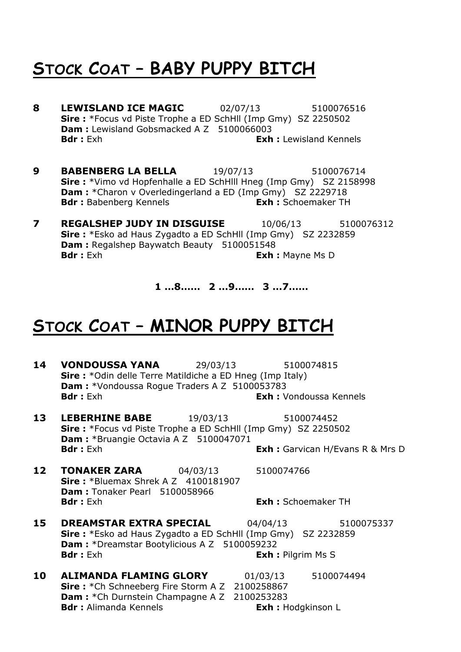### **STOCK COAT – BABY PUPPY BITCH**

- **8 LEWISLAND ICE MAGIC** 02/07/13 5100076516 **Sire :** \*Focus vd Piste Trophe a ED SchHll (Imp Gmy) SZ 2250502 **Dam :** Lewisland Gobsmacked A Z 5100066003 **Bdr :** Exh **Exh :** Lewisland Kennels
- **9 BABENBERG LA BELLA** 19/07/13 5100076714 **Sire :** \*Vimo vd Hopfenhalle a ED SchHlll Hneg (Imp Gmy) SZ 2158998 **Dam :** \*Charon v Overledingerland a ED (Imp Gmy) SZ 2229718 **Bdr :** Babenberg Kennels **Exh :** Schoemaker TH
- **7 REGALSHEP JUDY IN DISGUISE** 10/06/13 5100076312 **Sire :** \*Esko ad Haus Zygadto a ED SchHll (Imp Gmy) SZ 2232859 **Dam :** Regalshep Baywatch Beauty 5100051548 **Bdr :** Exh **Exh :** Mayne Ms D

**1 …8…… 2 …9…… 3 …7……**

#### **STOCK COAT – MINOR PUPPY BITCH**

- **14 VONDOUSSA YANA** 29/03/13 5100074815 **Sire :** \*Odin delle Terre Matildiche a ED Hneg (Imp Italy) **Dam :** \*Vondoussa Rogue Traders A Z 5100053783 **Bdr :** Exh **Exh :** Vondoussa Kennels
- **13 LEBERHINE BABE** 19/03/13 5100074452 **Sire :** \*Focus vd Piste Trophe a ED SchHll (Imp Gmy) SZ 2250502 **Dam : \***Bruangie Octavia A Z 5100047071 **Bdr :** Exh : Garvican H/Evans R & Mrs D
- **12 TONAKER ZARA** 04/03/13 5100074766 **Sire:** \*Bluemax Shrek A Z 4100181907 **Dam :** Tonaker Pearl 5100058966 **Bdr :** Exh **Exh :** Schoemaker TH
- **15 DREAMSTAR EXTRA SPECIAL** 04/04/13 5100075337 **Sire :** \*Esko ad Haus Zygadto a ED SchHll (Imp Gmy) SZ 2232859 **Dam :** \*Dreamstar Bootylicious A Z 5100059232 **Bdr :** Exh **Exh :** Pilgrim Ms S
- **10 ALIMANDA FLAMING GLORY** 01/03/13 5100074494 **Sire :** \*Ch Schneeberg Fire Storm A Z 2100258867 **Dam : \*Ch Durnstein Champagne A Z 2100253283 Bdr :** Alimanda Kennels **Exh :** Hodgkinson L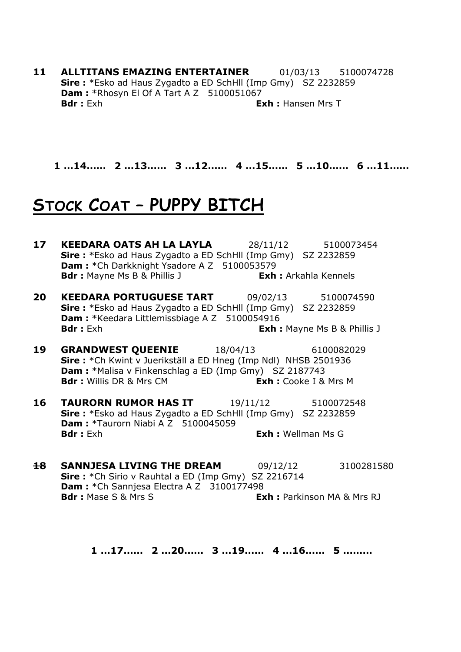**11 ALLTITANS EMAZING ENTERTAINER** 01/03/13 5100074728 **Sire :** \*Esko ad Haus Zygadto a ED SchHll (Imp Gmy) SZ 2232859 **Dam : \*Rhosyn El Of A Tart A Z 5100051067 Bdr :** Exh **Exh Exh** : Hansen Mrs T

**1 …14…… 2 …13…… 3 …12…… 4 …15…… 5 …10…… 6 …11……**

#### **STOCK COAT – PUPPY BITCH**

- **17 KEEDARA OATS AH LA LAYLA** 28/11/12 5100073454 **Sire :** \*Esko ad Haus Zygadto a ED SchHll (Imp Gmy) SZ 2232859 **Dam : \*Ch Darkknight Ysadore A Z 5100053579 Bdr :** Mayne Ms B & Phillis J **Exh :** Arkahla Kennels
- **20 KEEDARA PORTUGUESE TART** 09/02/13 5100074590 **Sire :** \*Esko ad Haus Zygadto a ED SchHll (Imp Gmy) SZ 2232859 **Dam : \***Keedara Littlemissbiage A Z 5100054916 **Bdr :** Exh **Exh Exh** : Exh **Exh** : Mayne Ms B & Phillis J
- **19 GRANDWEST QUEENIE** 18/04/13 6100082029 **Sire :** \*Ch Kwint v Juerikställ a ED Hneg (Imp Ndl) NHSB 2501936 **Dam :** \*Malisa v Finkenschlag a ED (Imp Gmy) SZ 2187743 **Bdr :** Willis DR & Mrs CM **Exh :** Cooke I & Mrs M
- **16 TAURORN RUMOR HAS IT** 19/11/12 5100072548 **Sire :** \*Esko ad Haus Zygadto a ED SchHll (Imp Gmy) SZ 2232859 **Dam : \*Taurorn Niabi A Z 5100045059 Bdr :** Exh **Exh :** Wellman Ms G
- **Sire :** \*Ch Sirio v Rauhtal a ED (Imp Gmy) SZ 2216714 **Dam : \***Ch Sannjesa Electra A Z 3100177498 **Bdr :** Mase S & Mrs S **Exh :** Parkinson MA & Mrs RJ

**1 …17…… 2 …20…… 3 …19…… 4 …16…… 5 ………**

**18 SANNJESA LIVING THE DREAM** 09/12/12 3100281580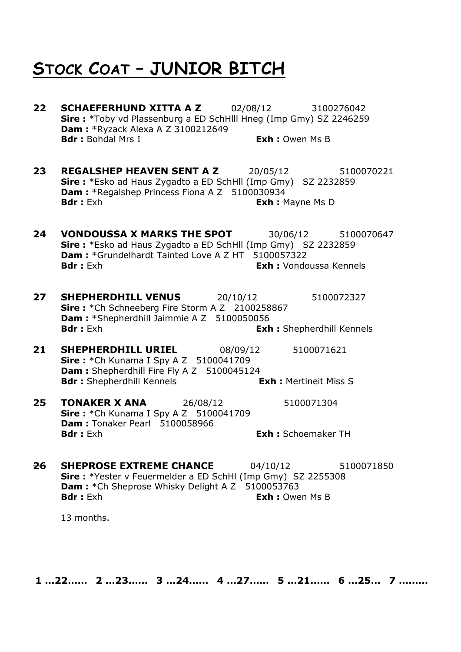#### **STOCK COAT – JUNIOR BITCH**

- **22 SCHAEFERHUND XITTA A Z** 02/08/12 3100276042 **Sire :** \*Toby vd Plassenburg a ED SchHlll Hneg (Imp Gmy) SZ 2246259 **Dam : \*Ryzack Alexa A Z 3100212649 Bdr :** Bohdal Mrs I **Exh :** Owen Ms B
- **23 REGALSHEP HEAVEN SENT A Z** 20/05/12 5100070221 **Sire :** \*Esko ad Haus Zygadto a ED SchHll (Imp Gmy) SZ 2232859 **Dam : \*Regalshep Princess Fiona A Z 5100030934 Bdr :** Exh **Exh :** Mayne Ms D
- **24 VONDOUSSA X MARKS THE SPOT** 30/06/12 5100070647 **Sire :** \*Esko ad Haus Zygadto a ED SchHll (Imp Gmy) SZ 2232859 **Dam :** \*Grundelhardt Tainted Love A Z HT 5100057322 **Bdr :** Exh **Exh :** Vondoussa Kennels
- **27 SHEPHERDHILL VENUS** 20/10/12 5100072327 **Sire :** \*Ch Schneeberg Fire Storm A Z 2100258867 **Dam :** \*Shepherdhill Jaimmie A Z 5100050056 **Bdr :** Exh **Exh :** Shepherdhill Kennels
- **21 SHEPHERDHILL URIEL** 08/09/12 5100071621 **Sire :** \*Ch Kunama I Spy A Z 5100041709 **Dam :** Shepherdhill Fire Fly A Z 5100045124<br>**Bdr :** Shepherdhill Kennels **Exh :** Mertineit Miss S **Bdr :** Shepherdhill Kennels
- **25 TONAKER X ANA** 26/08/12 5100071304 **Sire :** \*Ch Kunama I Spy A Z 5100041709 **Dam :** Tonaker Pearl 5100058966 **Bdr :** Exh **Exh :** Schoemaker TH
- **26 SHEPROSE EXTREME CHANCE** 04/10/12 5100071850 **Sire :** \*Yester v Feuermelder a ED SchHl (Imp Gmy) SZ 2255308 **Dam :** \*Ch Sheprose Whisky Delight A Z 5100053763 **Bdr :** Exh **Exh :** Exh : Owen Ms B

13 months.

**1 …22…… 2 …23…… 3 …24…… 4 …27…… 5 …21…… 6 …25… 7 ………**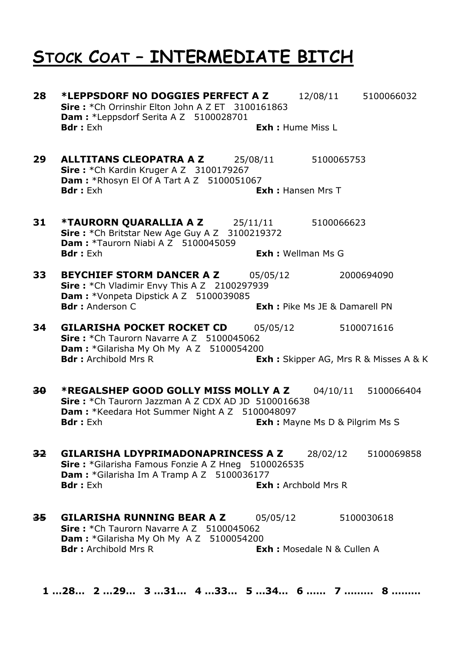#### **STOCK COAT – INTERMEDIATE BITCH**

**28 \*LEPPSDORF NO DOGGIES PERFECT A Z** 12/08/11 5100066032 **Sire :** \*Ch Orrinshir Elton John A Z ET 3100161863 **Dam :** \*Leppsdorf Serita A Z 5100028701 **Bdr :** Exh **Exh :** Hume Miss L **29 ALLTITANS CLEOPATRA A Z** 25/08/11 5100065753 **Sire :** \*Ch Kardin Kruger A Z 3100179267 **Dam : \*Rhosyn El Of A Tart A Z 5100051067 Bdr :** Exh **Exh :** Hansen Mrs T **31 \*TAURORN QUARALLIA A Z** 25/11/11 5100066623 **Sire :** \*Ch Britstar New Age Guy A Z 3100219372 **Dam :** \*Taurorn Niabi A Z 5100045059 **Bdr :** Exh **Exh :** Wellman Ms G **33 BEYCHIEF STORM DANCER A Z** 05/05/12 2000694090 **Sire :** \*Ch Vladimir Envy This A Z 2100297939 **Dam : \***Vonpeta Dipstick A Z 5100039085 **Bdr :** Anderson C **Exh :** Pike Ms JE & Damarell PN **34 GILARISHA POCKET ROCKET CD** 05/05/12 5100071616 **Sire :** \*Ch Taurorn Navarre A Z 5100045062 **Dam :** \*Gilarisha My Oh My A Z 5100054200 **Bdr :** Archibold Mrs R **Exh :** Skipper AG, Mrs R & Misses A & K **30 \*REGALSHEP GOOD GOLLY MISS MOLLY A Z** 04/10/11 5100066404 **Sire :** \*Ch Taurorn Jazzman A Z CDX AD JD 5100016638 **Dam : \***Keedara Hot Summer Night A Z 5100048097 **Bdr :** Exh **Exh :** Mayne Ms D & Pilgrim Ms S **32 GILARISHA LDYPRIMADONAPRINCESS A Z** 28/02/12 5100069858 **Sire :** \*Gilarisha Famous Fonzie A Z Hneg 5100026535 **Dam :** \*Gilarisha Im A Tramp A Z 5100036177 **Bdr :** Exh **Exh : Exh :** Archbold Mrs R **35 GILARISHA RUNNING BEAR A Z** 05/05/12 5100030618 **Sire :** \*Ch Taurorn Navarre A Z 5100045062 **Dam :** \*Gilarisha My Oh My A Z 5100054200 **Bdr :** Archibold Mrs R **Exh :** Mosedale N & Cullen A **1 …28… 2 …29… 3 …31… 4 …33… 5 …34… 6 …… 7 ……… 8 ………**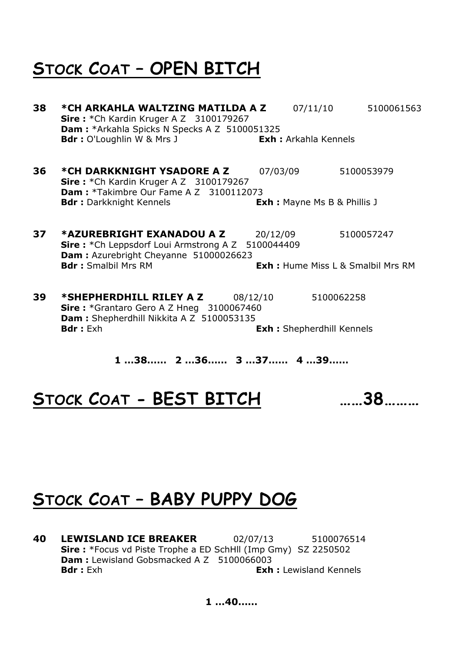#### **STOCK COAT – OPEN BITCH**

- **38 \*CH ARKAHLA WALTZING MATILDA A Z** 07/11/10 5100061563 **Sire :** \*Ch Kardin Kruger A Z 3100179267 **Dam :** \*Arkahla Spicks N Specks A Z 5100051325 **Bdr :** O'Loughlin W & Mrs J **Exh :** Arkahla Kennels **36 \*CH DARKKNIGHT YSADORE A Z** 07/03/09 5100053979 **Sire :** \*Ch Kardin Kruger A Z 3100179267 **Dam :** \*Takimbre Our Fame A Z 3100112073 **Bdr :** Darkknight Kennels **Exh :** Mayne Ms B & Phillis J **37 \*AZUREBRIGHT EXANADOU A Z** 20/12/09 5100057247 **Sire :** \*Ch Leppsdorf Loui Armstrong A Z 5100044409 **Dam :** Azurebright Cheyanne 51000026623 **Bdr :** Smalbil Mrs RM **Exh :** Hume Miss L & Smalbil Mrs RM **39 \*SHEPHERDHILL RILEY A Z** 08/12/10 5100062258 **Sire :** \*Grantaro Gero A Z Hneg 3100067460 **Dam :** Shepherdhill Nikkita A Z 5100053135 **Bdr :** Exh **Exh :** Shepherdhill Kennels
	- **1 …38…… 2 …36…… 3 …37…… 4 …39……**

**STOCK COAT - BEST BITCH ……38………**

# **STOCK COAT – BABY PUPPY DOG**

**40 LEWISLAND ICE BREAKER** 02/07/13 5100076514 **Sire :** \*Focus vd Piste Trophe a ED SchHll (Imp Gmy) SZ 2250502 **Dam :** Lewisland Gobsmacked A Z 5100066003 **Bdr :** Exh **Exh :** Lewisland Kennels

**1 …40……**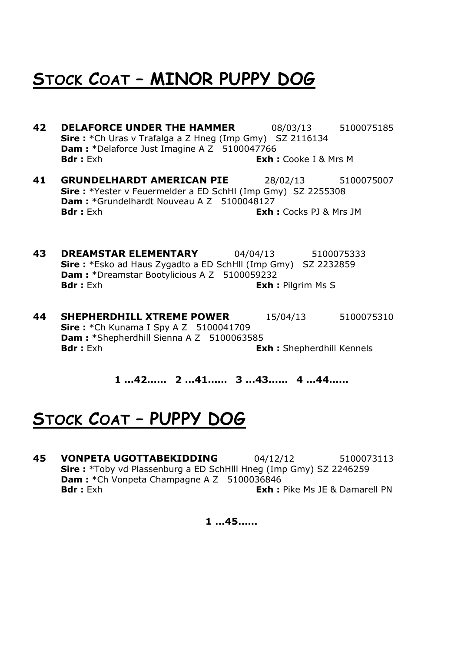# **STOCK COAT – MINOR PUPPY DOG**

- **42 DELAFORCE UNDER THE HAMMER** 08/03/13 5100075185 **Sire :** \*Ch Uras v Trafalga a Z Hneg (Imp Gmy) SZ 2116134 **Dam :** \*Delaforce Just Imagine A Z 5100047766 **Bdr :** Exh **Exh :** Cooke I & Mrs M
- **41 GRUNDELHARDT AMERICAN PIE** 28/02/13 5100075007 **Sire :** \*Yester v Feuermelder a ED SchHl (Imp Gmy) SZ 2255308 Dam : \*Grundelhardt Nouveau A Z 5100048127 **Bdr :** Exh **Exh :** Cocks PJ & Mrs JM
- **43 DREAMSTAR ELEMENTARY** 04/04/13 5100075333 **Sire :** \*Esko ad Haus Zygadto a ED SchHll (Imp Gmy) SZ 2232859 **Dam :** \*Dreamstar Bootylicious A Z 5100059232 **Bdr :** Exh **Exh :** Pilgrim Ms S
- **44 SHEPHERDHILL XTREME POWER** 15/04/13 5100075310 **Sire :** \*Ch Kunama I Spy A Z 5100041709 Dam : \* Shepherdhill Sienna A Z 5100063585 **Bdr :** Exh **Exh :** Shepherdhill Kennels

**1 …42…… 2 …41…… 3 …43…… 4 …44……**

#### **STOCK COAT – PUPPY DOG**

**45 VONPETA UGOTTABEKIDDING** 04/12/12 5100073113 **Sire :** \*Toby vd Plassenburg a ED SchHlll Hneg (Imp Gmy) SZ 2246259 **Dam : \***Ch Vonpeta Champagne A Z 5100036846 **Bdr :** Exh **Exh Exh** : Pike Ms JE & Damarell PN

**1 …45……**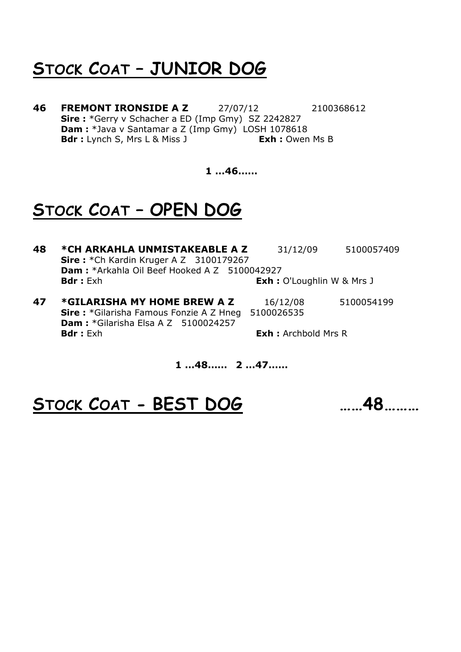#### **STOCK COAT – JUNIOR DOG**

**46 FREMONT IRONSIDE A Z** 27/07/12 2100368612 **Sire :** \*Gerry v Schacher a ED (Imp Gmy) SZ 2242827 **Dam :** \*Java v Santamar a Z (Imp Gmy) LOSH 1078618 **Bdr :** Lynch S, Mrs L & Miss J **Exh :** Owen Ms B

**1 …46……**

### **STOCK COAT – OPEN DOG**

- **48 \*CH ARKAHLA UNMISTAKEABLE A Z** 31/12/09 5100057409 **Sire :** \*Ch Kardin Kruger A Z 3100179267 **Dam :** \*Arkahla Oil Beef Hooked A Z 5100042927 **Bdr :** Exh **Exh :** O'Loughlin W & Mrs J
- **47 \*GILARISHA MY HOME BREW A Z** 16/12/08 5100054199 **Sire :** \*Gilarisha Famous Fonzie A Z Hneg 5100026535 **Dam :** \*Gilarisha Elsa A Z 5100024257<br>**Bdr :** Exh **Exh** : Archbold Mrs R

#### **1 …48…… 2 …47……**

# **STOCK COAT - BEST DOG ……48………**